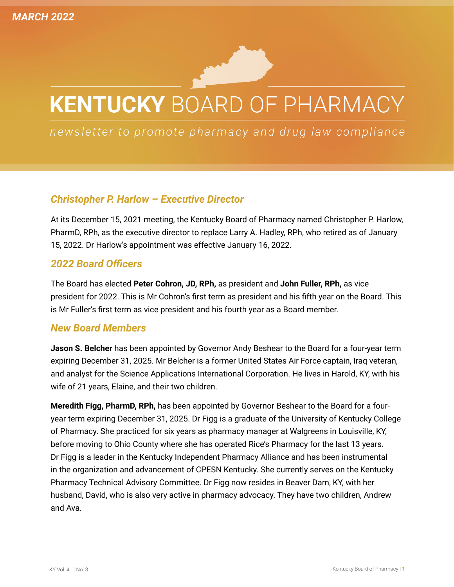# **KENTUCKY BOARD OF PHARMACY**

newsletter to promote pharmacy and drug law compliance

## *Christopher P. Harlow – Executive Director*

At its December 15, 2021 meeting, the Kentucky Board of Pharmacy named Christopher P. Harlow, PharmD, RPh, as the executive director to replace Larry A. Hadley, RPh, who retired as of January 15, 2022. Dr Harlow's appointment was effective January 16, 2022.

#### *2022 Board Officers*

The Board has elected **Peter Cohron, JD, RPh,** as president and **John Fuller, RPh,** as vice president for 2022. This is Mr Cohron's first term as president and his fifth year on the Board. This is Mr Fuller's first term as vice president and his fourth year as a Board member.

#### *New Board Members*

**Jason S. Belcher** has been appointed by Governor Andy Beshear to the Board for a four-year term expiring December 31, 2025. Mr Belcher is a former United States Air Force captain, Iraq veteran, and analyst for the Science Applications International Corporation. He lives in Harold, KY, with his wife of 21 years, Elaine, and their two children.

**Meredith Figg, PharmD, RPh,** has been appointed by Governor Beshear to the Board for a fouryear term expiring December 31, 2025. Dr Figg is a graduate of the University of Kentucky College of Pharmacy. She practiced for six years as pharmacy manager at Walgreens in Louisville, KY, before moving to Ohio County where she has operated Rice's Pharmacy for the last 13 years. Dr Figg is a leader in the Kentucky Independent Pharmacy Alliance and has been instrumental in the organization and advancement of CPESN Kentucky. She currently serves on the Kentucky Pharmacy Technical Advisory Committee. Dr Figg now resides in Beaver Dam, KY, with her husband, David, who is also very active in pharmacy advocacy. They have two children, Andrew and Ava.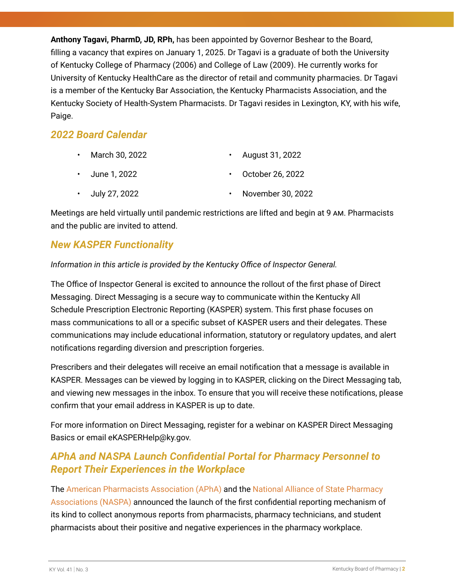**Anthony Tagavi, PharmD, JD, RPh,** has been appointed by Governor Beshear to the Board, filling a vacancy that expires on January 1, 2025. Dr Tagavi is a graduate of both the University of Kentucky College of Pharmacy (2006) and College of Law (2009). He currently works for University of Kentucky HealthCare as the director of retail and community pharmacies. Dr Tagavi is a member of the Kentucky Bar Association, the Kentucky Pharmacists Association, and the Kentucky Society of Health-System Pharmacists. Dr Tagavi resides in Lexington, KY, with his wife, Paige.

# *2022 Board Calendar*

| $\cdot$ March 30, 2022 | • August 31, 2022        |
|------------------------|--------------------------|
| • June 1, 2022         | $\cdot$ October 26, 2022 |
| $\cdot$ July 27, 2022  | • November 30, 2022      |

Meetings are held virtually until pandemic restrictions are lifted and begin at 9 am. Pharmacists and the public are invited to attend.

# *New KASPER Functionality*

#### *Information in this article is provided by the Kentucky Office of Inspector General.*

The Office of Inspector General is excited to announce the rollout of the first phase of Direct Messaging. Direct Messaging is a secure way to communicate within the Kentucky All Schedule Prescription Electronic Reporting (KASPER) system. This first phase focuses on mass communications to all or a specific subset of KASPER users and their delegates. These communications may include educational information, statutory or regulatory updates, and alert notifications regarding diversion and prescription forgeries.

Prescribers and their delegates will receive an email notification that a message is available in KASPER. Messages can be viewed by logging in to KASPER, clicking on the Direct Messaging tab, and viewing new messages in the inbox. To ensure that you will receive these notifications, please confirm that your email address in KASPER is up to date.

For more information on Direct Messaging, register for a webinar on KASPER Direct Messaging Basics or email [eKASPERHelp@ky.gov.](mailto:eKASPERHelp@ky.gov)

## *APhA and NASPA Launch Confidential Portal for Pharmacy Personnel to Report Their Experiences in the Workplace*

The [American Pharmacists Association \(APhA\) a](https://pharmacist.com/)nd the [National Alliance of State Pharmacy](https://naspa.us/)  [Associations \(NASPA\)](https://naspa.us/) announced the launch of the first confidential reporting mechanism of its kind to collect anonymous reports from pharmacists, pharmacy technicians, and student pharmacists about their positive and negative experiences in the pharmacy workplace.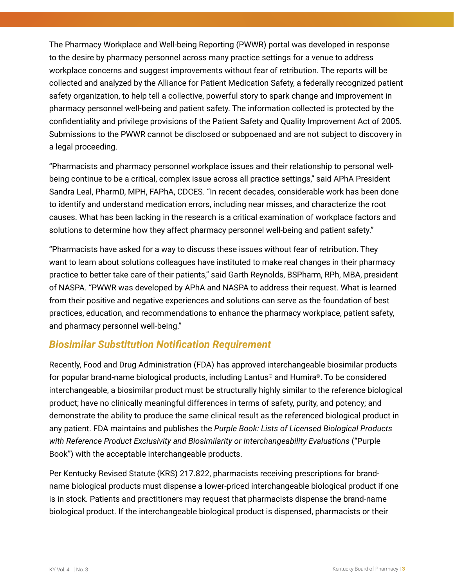The Pharmacy Workplace and Well-being Reporting (PWWR) portal was developed in response to the desire by pharmacy personnel across many practice settings for a venue to address workplace concerns and suggest improvements without fear of retribution. The reports will be collected and analyzed by the Alliance for Patient Medication Safety, a federally recognized patient safety organization, to help tell a collective, powerful story to spark change and improvement in pharmacy personnel well-being and patient safety. The information collected is protected by the confidentiality and privilege provisions of the Patient Safety and Quality Improvement Act of 2005. Submissions to the PWWR cannot be disclosed or subpoenaed and are not subject to discovery in a legal proceeding.

"Pharmacists and pharmacy personnel workplace issues and their relationship to personal wellbeing continue to be a critical, complex issue across all practice settings," said APhA President Sandra Leal, PharmD, MPH, FAPhA, CDCES. "In recent decades, considerable work has been done to identify and understand medication errors, including near misses, and characterize the root causes. What has been lacking in the research is a critical examination of workplace factors and solutions to determine how they affect pharmacy personnel well-being and patient safety."

"Pharmacists have asked for a way to discuss these issues without fear of retribution. They want to learn about solutions colleagues have instituted to make real changes in their pharmacy practice to better take care of their patients," said Garth Reynolds, BSPharm, RPh, MBA, president of NASPA. "PWWR was developed by APhA and NASPA to address their request. What is learned from their positive and negative experiences and solutions can serve as the foundation of best practices, education, and recommendations to enhance the pharmacy workplace, patient safety, and pharmacy personnel well-being."

## *Biosimilar Substitution Notification Requirement*

Recently, Food and Drug Administration (FDA) has approved interchangeable biosimilar products for popular brand-name biological products, including Lantus® and Humira®. To be considered interchangeable, a biosimilar product must be structurally highly similar to the reference biological product; have no clinically meaningful differences in terms of safety, purity, and potency; and demonstrate the ability to produce the same clinical result as the referenced biological product in any patient. FDA maintains and publishes the *Purple Book: Lists of Licensed Biological Products with Reference Product Exclusivity and Biosimilarity or Interchangeability Evaluations* ("Purple Book") with the acceptable interchangeable products.

Per Kentucky Revised Statute (KRS) 217.822, pharmacists receiving prescriptions for brandname biological products must dispense a lower-priced interchangeable biological product if one is in stock. Patients and practitioners may request that pharmacists dispense the brand-name biological product. If the interchangeable biological product is dispensed, pharmacists or their